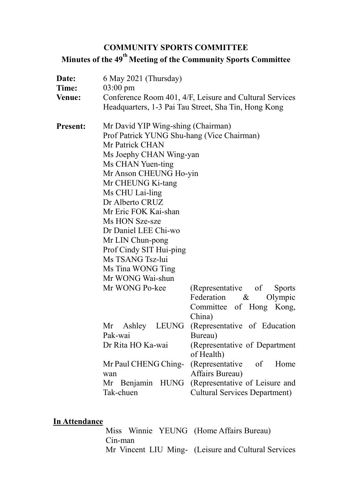## **COMMUNITY SPORTS COMMITTEE**

**Minutes of the 49 th Meeting of the Community Sports Committee**

| Date:<br>Time:<br><b>Venue:</b> | 6 May 2021 (Thursday)<br>$03:00 \text{ pm}$<br>Conference Room 401, 4/F, Leisure and Cultural Services<br>Headquarters, 1-3 Pai Tau Street, Sha Tin, Hong Kong                                                                                                                                                                                                                                                         |                                                                                                                                                                                                                                                                                                                                           |
|---------------------------------|------------------------------------------------------------------------------------------------------------------------------------------------------------------------------------------------------------------------------------------------------------------------------------------------------------------------------------------------------------------------------------------------------------------------|-------------------------------------------------------------------------------------------------------------------------------------------------------------------------------------------------------------------------------------------------------------------------------------------------------------------------------------------|
| <b>Present:</b>                 | Mr David YIP Wing-shing (Chairman)<br>Prof Patrick YUNG Shu-hang (Vice Chairman)<br>Mr Patrick CHAN<br>Ms Joephy CHAN Wing-yan<br>Ms CHAN Yuen-ting<br>Mr Anson CHEUNG Ho-yin<br>Mr CHEUNG Ki-tang<br>Ms CHU Lai-ling<br>Dr Alberto CRUZ<br>Mr Eric FOK Kai-shan<br>Ms HON Sze-sze<br>Dr Daniel LEE Chi-wo<br>Mr LIN Chun-pong<br>Prof Cindy SIT Hui-ping<br>Ms TSANG Tsz-lui<br>Ms Tina WONG Ting<br>Mr WONG Wai-shun |                                                                                                                                                                                                                                                                                                                                           |
|                                 | Mr WONG Po-kee<br>Mr Ashley<br>LEUNG<br>Pak-wai<br>Dr Rita HO Ka-wai<br>Mr Paul CHENG Ching-<br>wan<br>Tak-chuen                                                                                                                                                                                                                                                                                                       | (Representative of<br><b>Sports</b><br>Federation &<br>Olympic<br>Committee of Hong Kong,<br>China)<br>(Representative of Education<br>Bureau)<br>(Representative of Department<br>of Health)<br>(Representative of<br>Home<br>Affairs Bureau)<br>Mr Benjamin HUNG (Representative of Leisure and<br><b>Cultural Services Department)</b> |

# **In Attendance**

Miss Winnie YEUNG (Home Affairs Bureau) Cin-man Mr Vincent LIU Ming- (Leisure and Cultural Services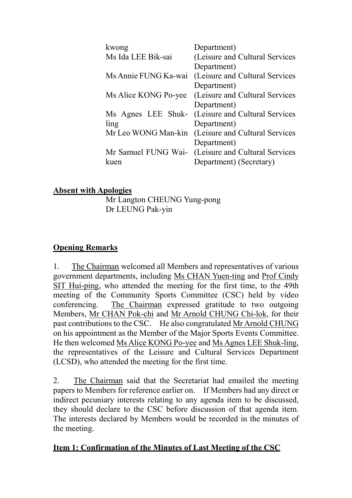| kwong                | Department)                                       |
|----------------------|---------------------------------------------------|
| Ms Ida LEE Bik-sai   | (Leisure and Cultural Services                    |
|                      | Department)                                       |
| Ms Annie FUNG Ka-wai | (Leisure and Cultural Services                    |
|                      | Department)                                       |
| Ms Alice KONG Po-yee | (Leisure and Cultural Services                    |
|                      | Department)                                       |
|                      | Ms Agnes LEE Shuk- (Leisure and Cultural Services |
| ling                 | Department)                                       |
| Mr Leo WONG Man-kin  | (Leisure and Cultural Services                    |
|                      | Department)                                       |
| Mr Samuel FUNG Wai-  | (Leisure and Cultural Services                    |
| kuen                 | Department) (Secretary)                           |

#### **Absent with Apologies**

Mr Langton CHEUNG Yung-pong Dr LEUNG Pak-yin

#### **Opening Remarks**

1. The Chairman welcomed all Members and representatives of various government departments, including Ms CHAN Yuen-ting and Prof Cindy SIT Hui-ping, who attended the meeting for the first time, to the 49th meeting of the Community Sports Committee (CSC) held by video conferencing. The Chairman expressed gratitude to two outgoing Members, Mr CHAN Pok-chi and Mr Arnold CHUNG Chi-lok, for their past contributions to the CSC. He also congratulated Mr Arnold CHUNG on his appointment as the Member of the Major Sports Events Committee. He then welcomed Ms Alice KONG Po-yee and Ms Agnes LEE Shuk-ling, the representatives of the Leisure and Cultural Services Department (LCSD), who attended the meeting for the first time.

2. The Chairman said that the Secretariat had emailed the meeting papers to Members for reference earlier on. If Members had any direct or indirect pecuniary interests relating to any agenda item to be discussed, they should declare to the CSC before discussion of that agenda item. The interests declared by Members would be recorded in the minutes of the meeting.

#### **Item 1: Confirmation of the Minutes of Last Meeting of the CSC**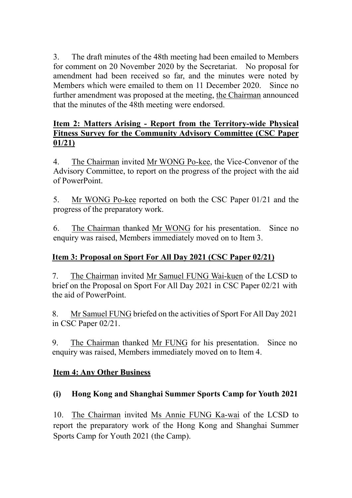3. The draft minutes of the 48th meeting had been emailed to Members for comment on 20 November 2020 by the Secretariat. No proposal for amendment had been received so far, and the minutes were noted by Members which were emailed to them on 11 December 2020. Since no further amendment was proposed at the meeting, the Chairman announced that the minutes of the 48th meeting were endorsed.

#### **Item 2: Matters Arising - Report from the Territory-wide Physical Fitness Survey for the Community Advisory Committee (CSC Paper 01/21)**

4. The Chairman invited Mr WONG Po-kee, the Vice-Convenor of the Advisory Committee, to report on the progress of the project with the aid of PowerPoint.

5. Mr WONG Po-kee reported on both the CSC Paper 01/21 and the progress of the preparatory work.

6. The Chairman thanked Mr WONG for his presentation. Since no enquiry was raised, Members immediately moved on to Item 3.

# **Item 3: Proposal on Sport For All Day 2021 (CSC Paper 02/21)**

7. The Chairman invited Mr Samuel FUNG Wai-kuen of the LCSD to brief on the Proposal on Sport For All Day 2021 in CSC Paper 02/21 with the aid of PowerPoint.

8. Mr Samuel FUNG briefed on the activities of Sport For All Day 2021 in CSC Paper 02/21.

9. The Chairman thanked Mr FUNG for his presentation. Since no enquiry was raised, Members immediately moved on to Item 4.

### **Item 4: Any Other Business**

### **(i) Hong Kong and Shanghai Summer Sports Camp for Youth 2021**

10. The Chairman invited Ms Annie FUNG Ka-wai of the LCSD to report the preparatory work of the Hong Kong and Shanghai Summer Sports Camp for Youth 2021 (the Camp).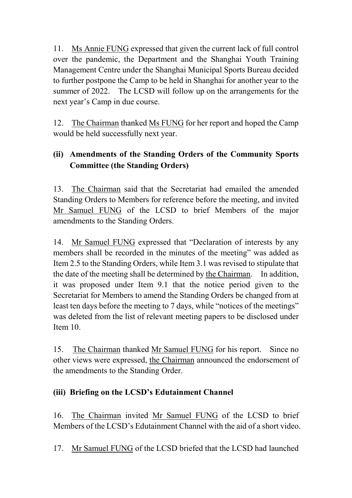11. Ms Annie FUNG expressed that given the current lack of full control over the pandemic, the Department and the Shanghai Youth Training Management Centre under the Shanghai Municipal Sports Bureau decided to further postpone the Camp to be held in Shanghai for another year to the summer of 2022. The LCSD will follow up on the arrangements for the next year's Camp in due course.

12. The Chairman thanked Ms FUNG for her report and hoped the Camp would be held successfully next year.

# **(ii) Amendments of the Standing Orders of the Community Sports Committee (the Standing Orders)**

13. The Chairman said that the Secretariat had emailed the amended Standing Orders to Members for reference before the meeting, and invited Mr Samuel FUNG of the LCSD to brief Members of the major amendments to the Standing Orders.

14. Mr Samuel FUNG expressed that "Declaration of interests by any members shall be recorded in the minutes of the meeting" was added as Item 2.5 to the Standing Orders, while Item 3.1 was revised to stipulate that the date of the meeting shall be determined by the Chairman. In addition, it was proposed under Item 9.1 that the notice period given to the Secretariat for Members to amend the Standing Orders be changed from at least ten days before the meeting to 7 days, while "notices of the meetings" was deleted from the list of relevant meeting papers to be disclosed under Item 10.

15. The Chairman thanked Mr Samuel FUNG for his report. Since no other views were expressed, the Chairman announced the endorsement of the amendments to the Standing Order.

# **(iii) Briefing on the LCSD's Edutainment Channel**

16. The Chairman invited Mr Samuel FUNG of the LCSD to brief Members of the LCSD's Edutainment Channel with the aid of a short video.

17. Mr Samuel FUNG of the LCSD briefed that the LCSD had launched